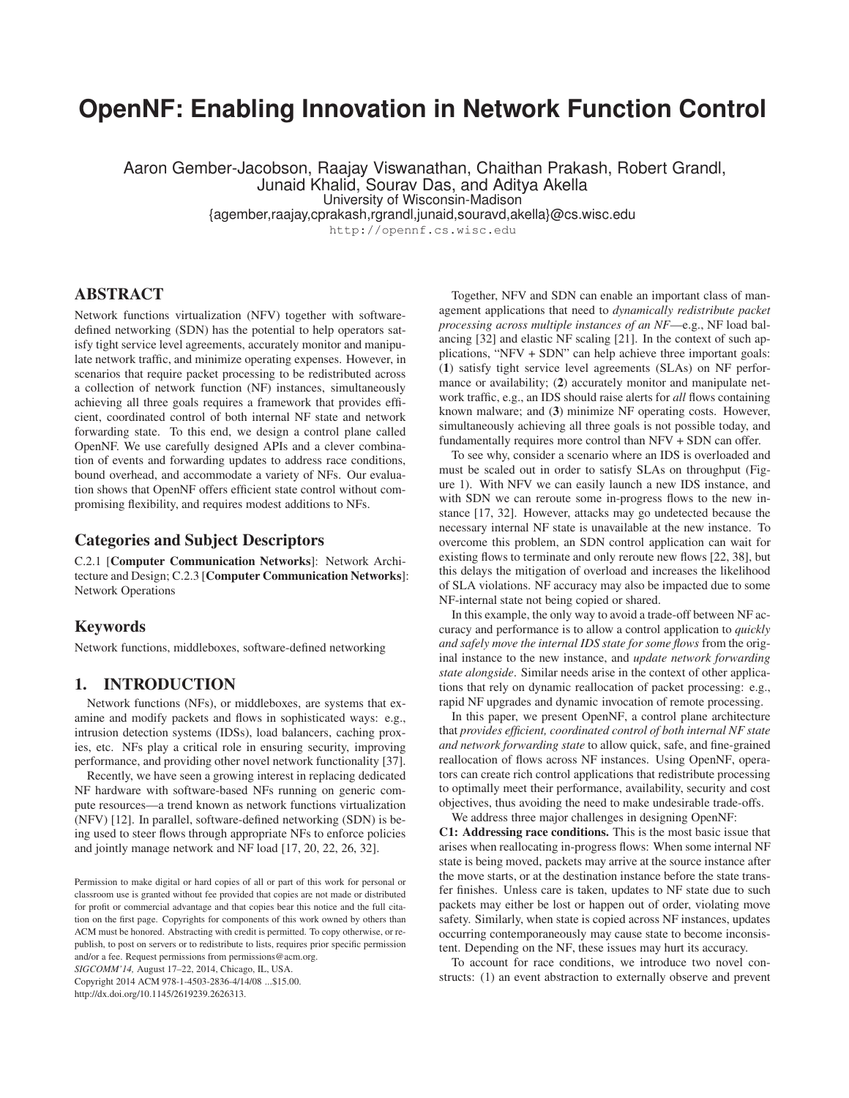# **OpenNF: Enabling Innovation in Network Function Control**

Aaron Gember-Jacobson, Raajay Viswanathan, Chaithan Prakash, Robert Grandl, Junaid Khalid, Sourav Das, and Aditya Akella University of Wisconsin-Madison {agember,raajay,cprakash,rgrandl,junaid,souravd,akella}@cs.wisc.edu http://opennf.cs.wisc.edu

# **ABSTRACT**

Network functions virtualization (NFV) together with softwaredefined networking (SDN) has the potential to help operators satisfy tight service level agreements, accurately monitor and manipulate network traffic, and minimize operating expenses. However, in scenarios that require packet processing to be redistributed across a collection of network function (NF) instances, simultaneously achieving all three goals requires a framework that provides efficient, coordinated control of both internal NF state and network forwarding state. To this end, we design a control plane called OpenNF. We use carefully designed APIs and a clever combination of events and forwarding updates to address race conditions, bound overhead, and accommodate a variety of NFs. Our evaluation shows that OpenNF offers efficient state control without compromising flexibility, and requires modest additions to NFs.

# **Categories and Subject Descriptors**

C.2.1 [**Computer Communication Networks**]: Network Architecture and Design; C.2.3 [**Computer Communication Networks**]: Network Operations

### **Keywords**

Network functions, middleboxes, software-defined networking

# **1. INTRODUCTION**

Network functions (NFs), or middleboxes, are systems that examine and modify packets and flows in sophisticated ways: e.g., intrusion detection systems (IDSs), load balancers, caching proxies, etc. NFs play a critical role in ensuring security, improving performance, and providing other novel network functionality [37].

Recently, we have seen a growing interest in replacing dedicated NF hardware with software-based NFs running on generic compute resources—a trend known as network functions virtualization (NFV) [12]. In parallel, software-defined networking (SDN) is being used to steer flows through appropriate NFs to enforce policies and jointly manage network and NF load [17, 20, 22, 26, 32].

*SIGCOMM'14,* August 17–22, 2014, Chicago, IL, USA. Copyright 2014 ACM 978-1-4503-2836-4/14/08 ...\$15.00.

http://dx.doi.org/10.1145/2619239.2626313.

Together, NFV and SDN can enable an important class of management applications that need to *dynamically redistribute packet processing across multiple instances of an NF*—e.g., NF load balancing [32] and elastic NF scaling [21]. In the context of such applications, "NFV + SDN" can help achieve three important goals: (**1**) satisfy tight service level agreements (SLAs) on NF performance or availability; (**2**) accurately monitor and manipulate network traffic, e.g., an IDS should raise alerts for *all* flows containing known malware; and (**3**) minimize NF operating costs. However, simultaneously achieving all three goals is not possible today, and fundamentally requires more control than NFV + SDN can offer.

To see why, consider a scenario where an IDS is overloaded and must be scaled out in order to satisfy SLAs on throughput (Figure 1). With NFV we can easily launch a new IDS instance, and with SDN we can reroute some in-progress flows to the new instance [17, 32]. However, attacks may go undetected because the necessary internal NF state is unavailable at the new instance. To overcome this problem, an SDN control application can wait for existing flows to terminate and only reroute new flows [22, 38], but this delays the mitigation of overload and increases the likelihood of SLA violations. NF accuracy may also be impacted due to some NF-internal state not being copied or shared.

In this example, the only way to avoid a trade-off between NF accuracy and performance is to allow a control application to *quickly and safely move the internal IDS state for some flows* from the original instance to the new instance, and *update network forwarding state alongside*. Similar needs arise in the context of other applications that rely on dynamic reallocation of packet processing: e.g., rapid NF upgrades and dynamic invocation of remote processing.

In this paper, we present OpenNF, a control plane architecture that *provides efficient, coordinated control of both internal NF state and network forwarding state* to allow quick, safe, and fine-grained reallocation of flows across NF instances. Using OpenNF, operators can create rich control applications that redistribute processing to optimally meet their performance, availability, security and cost objectives, thus avoiding the need to make undesirable trade-offs.

We address three major challenges in designing OpenNF:

**C1: Addressing race conditions.** This is the most basic issue that arises when reallocating in-progress flows: When some internal NF state is being moved, packets may arrive at the source instance after the move starts, or at the destination instance before the state transfer finishes. Unless care is taken, updates to NF state due to such packets may either be lost or happen out of order, violating move safety. Similarly, when state is copied across NF instances, updates occurring contemporaneously may cause state to become inconsistent. Depending on the NF, these issues may hurt its accuracy.

To account for race conditions, we introduce two novel constructs: (1) an event abstraction to externally observe and prevent

Permission to make digital or hard copies of all or part of this work for personal or classroom use is granted without fee provided that copies are not made or distributed for profit or commercial advantage and that copies bear this notice and the full citation on the first page. Copyrights for components of this work owned by others than ACM must be honored. Abstracting with credit is permitted. To copy otherwise, or republish, to post on servers or to redistribute to lists, requires prior specific permission and/or a fee. Request permissions from permissions@acm.org.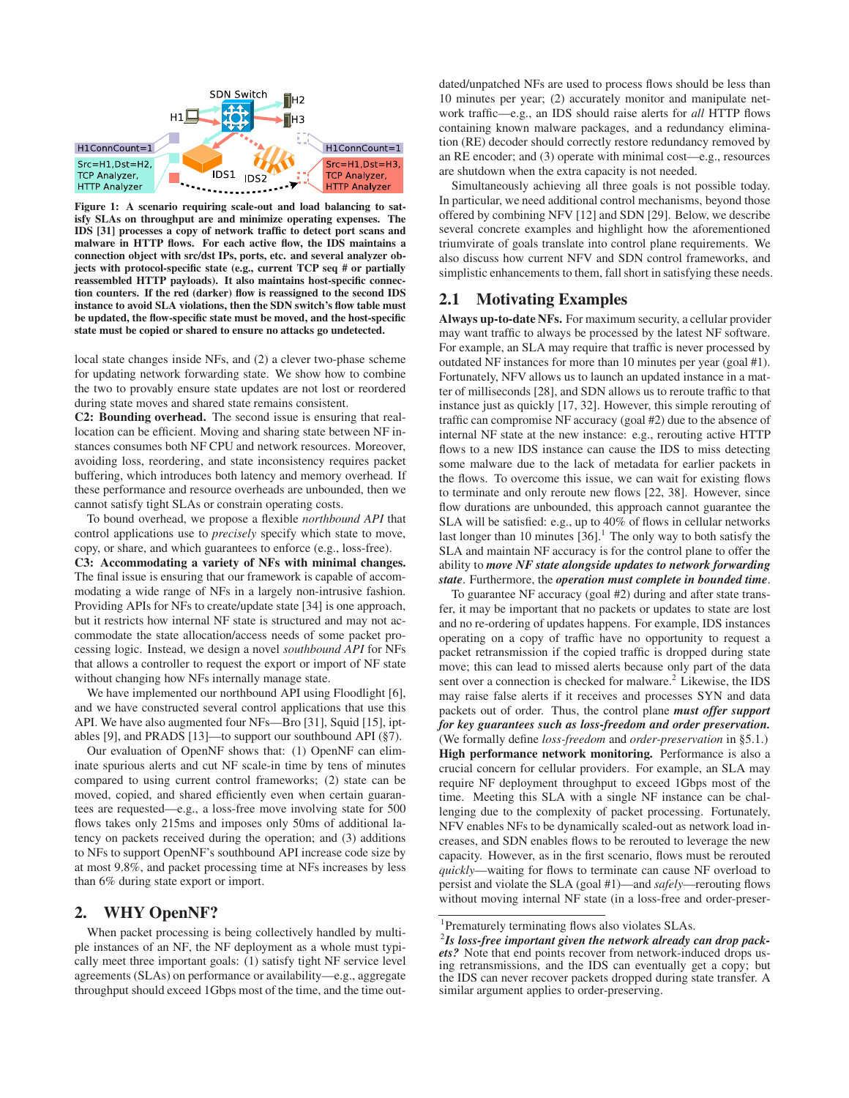

**Figure 1: A scenario requiring scale-out and load balancing to satisfy SLAs on throughput are and minimize operating expenses. The IDS [31] processes a copy of network traffic to detect port scans and malware in HTTP flows. For each active flow, the IDS maintains a connection object with src/dst IPs, ports, etc. and several analyzer objects with protocol-specific state (e.g., current TCP seq # or partially reassembled HTTP payloads). It also maintains host-specific connection counters. If the red (darker) flow is reassigned to the second IDS instance to avoid SLA violations, then the SDN switch's flow table must be updated, the flow-specific state must be moved, and the host-specific state must be copied or shared to ensure no attacks go undetected.**

local state changes inside NFs, and (2) a clever two-phase scheme for updating network forwarding state. We show how to combine the two to provably ensure state updates are not lost or reordered during state moves and shared state remains consistent.

**C2: Bounding overhead.** The second issue is ensuring that reallocation can be efficient. Moving and sharing state between NF instances consumes both NF CPU and network resources. Moreover, avoiding loss, reordering, and state inconsistency requires packet buffering, which introduces both latency and memory overhead. If these performance and resource overheads are unbounded, then we cannot satisfy tight SLAs or constrain operating costs.

To bound overhead, we propose a flexible *northbound API* that control applications use to *precisely* specify which state to move, copy, or share, and which guarantees to enforce (e.g., loss-free).

**C3: Accommodating a variety of NFs with minimal changes.** The final issue is ensuring that our framework is capable of accommodating a wide range of NFs in a largely non-intrusive fashion. Providing APIs for NFs to create/update state [34] is one approach, but it restricts how internal NF state is structured and may not accommodate the state allocation/access needs of some packet processing logic. Instead, we design a novel *southbound API* for NFs that allows a controller to request the export or import of NF state without changing how NFs internally manage state.

We have implemented our northbound API using Floodlight [6], and we have constructed several control applications that use this API. We have also augmented four NFs—Bro [31], Squid [15], iptables [9], and PRADS [13]—to support our southbound API (§7).

Our evaluation of OpenNF shows that: (1) OpenNF can eliminate spurious alerts and cut NF scale-in time by tens of minutes compared to using current control frameworks; (2) state can be moved, copied, and shared efficiently even when certain guarantees are requested—e.g., a loss-free move involving state for 500 flows takes only 215ms and imposes only 50ms of additional latency on packets received during the operation; and (3) additions to NFs to support OpenNF's southbound API increase code size by at most 9.8%, and packet processing time at NFs increases by less than 6% during state export or import.

### **2. WHY OpenNF?**

When packet processing is being collectively handled by multiple instances of an NF, the NF deployment as a whole must typically meet three important goals: (1) satisfy tight NF service level agreements (SLAs) on performance or availability—e.g., aggregate throughput should exceed 1Gbps most of the time, and the time outdated/unpatched NFs are used to process flows should be less than 10 minutes per year; (2) accurately monitor and manipulate network traffic—e.g., an IDS should raise alerts for *all* HTTP flows containing known malware packages, and a redundancy elimination (RE) decoder should correctly restore redundancy removed by an RE encoder; and (3) operate with minimal cost—e.g., resources are shutdown when the extra capacity is not needed.

Simultaneously achieving all three goals is not possible today. In particular, we need additional control mechanisms, beyond those offered by combining NFV [12] and SDN [29]. Below, we describe several concrete examples and highlight how the aforementioned triumvirate of goals translate into control plane requirements. We also discuss how current NFV and SDN control frameworks, and simplistic enhancements to them, fall short in satisfying these needs.

# **2.1 Motivating Examples**

**Always up-to-date NFs.** For maximum security, a cellular provider may want traffic to always be processed by the latest NF software. For example, an SLA may require that traffic is never processed by outdated NF instances for more than 10 minutes per year (goal #1). Fortunately, NFV allows us to launch an updated instance in a matter of milliseconds [28], and SDN allows us to reroute traffic to that instance just as quickly [17, 32]. However, this simple rerouting of traffic can compromise NF accuracy (goal #2) due to the absence of internal NF state at the new instance: e.g., rerouting active HTTP flows to a new IDS instance can cause the IDS to miss detecting some malware due to the lack of metadata for earlier packets in the flows. To overcome this issue, we can wait for existing flows to terminate and only reroute new flows [22, 38]. However, since flow durations are unbounded, this approach cannot guarantee the SLA will be satisfied: e.g., up to 40% of flows in cellular networks last longer than 10 minutes  $[36]$ .<sup>1</sup> The only way to both satisfy the SLA and maintain NF accuracy is for the control plane to offer the ability to *move NF state alongside updates to network forwarding state*. Furthermore, the *operation must complete in bounded time*.

To guarantee NF accuracy (goal #2) during and after state transfer, it may be important that no packets or updates to state are lost and no re-ordering of updates happens. For example, IDS instances operating on a copy of traffic have no opportunity to request a packet retransmission if the copied traffic is dropped during state move; this can lead to missed alerts because only part of the data sent over a connection is checked for malware.<sup>2</sup> Likewise, the IDS may raise false alerts if it receives and processes SYN and data packets out of order. Thus, the control plane *must offer support for key guarantees such as loss-freedom and order preservation.* (We formally define *loss-freedom* and *order-preservation* in §5.1.) **High performance network monitoring.** Performance is also a crucial concern for cellular providers. For example, an SLA may require NF deployment throughput to exceed 1Gbps most of the time. Meeting this SLA with a single NF instance can be challenging due to the complexity of packet processing. Fortunately, NFV enables NFs to be dynamically scaled-out as network load increases, and SDN enables flows to be rerouted to leverage the new capacity. However, as in the first scenario, flows must be rerouted *quickly*—waiting for flows to terminate can cause NF overload to persist and violate the SLA (goal #1)—and *safely*—rerouting flows without moving internal NF state (in a loss-free and order-preser-

<sup>&</sup>lt;sup>1</sup>Prematurely terminating flows also violates SLAs.

<sup>2</sup> *Is loss-free important given the network already can drop packets?* Note that end points recover from network-induced drops using retransmissions, and the IDS can eventually get a copy; but the IDS can never recover packets dropped during state transfer. A similar argument applies to order-preserving.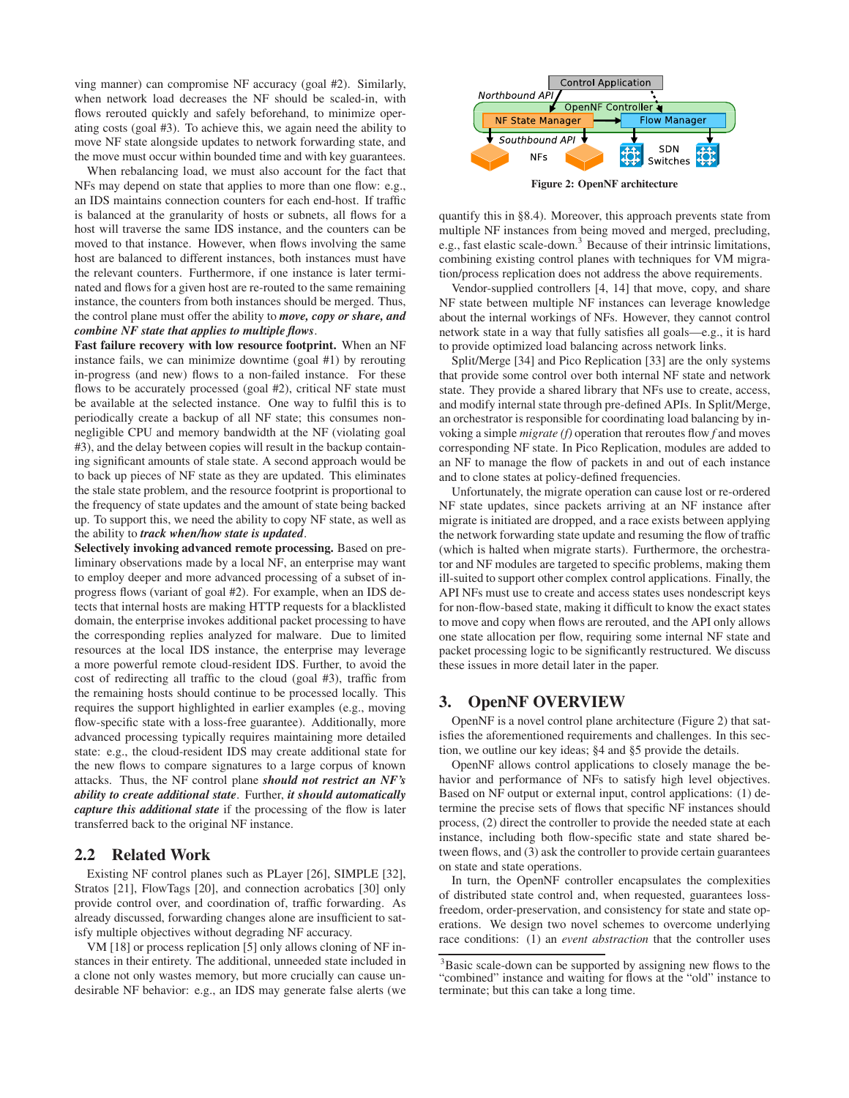ving manner) can compromise NF accuracy (goal #2). Similarly, when network load decreases the NF should be scaled-in, with flows rerouted quickly and safely beforehand, to minimize operating costs (goal #3). To achieve this, we again need the ability to move NF state alongside updates to network forwarding state, and the move must occur within bounded time and with key guarantees.

When rebalancing load, we must also account for the fact that NFs may depend on state that applies to more than one flow: e.g., an IDS maintains connection counters for each end-host. If traffic is balanced at the granularity of hosts or subnets, all flows for a host will traverse the same IDS instance, and the counters can be moved to that instance. However, when flows involving the same host are balanced to different instances, both instances must have the relevant counters. Furthermore, if one instance is later terminated and flows for a given host are re-routed to the same remaining instance, the counters from both instances should be merged. Thus, the control plane must offer the ability to *move, copy or share, and combine NF state that applies to multiple flows*.

**Fast failure recovery with low resource footprint.** When an NF instance fails, we can minimize downtime (goal #1) by rerouting in-progress (and new) flows to a non-failed instance. For these flows to be accurately processed (goal #2), critical NF state must be available at the selected instance. One way to fulfil this is to periodically create a backup of all NF state; this consumes nonnegligible CPU and memory bandwidth at the NF (violating goal #3), and the delay between copies will result in the backup containing significant amounts of stale state. A second approach would be to back up pieces of NF state as they are updated. This eliminates the stale state problem, and the resource footprint is proportional to the frequency of state updates and the amount of state being backed up. To support this, we need the ability to copy NF state, as well as the ability to *track when/how state is updated*.

**Selectively invoking advanced remote processing.** Based on preliminary observations made by a local NF, an enterprise may want to employ deeper and more advanced processing of a subset of inprogress flows (variant of goal #2). For example, when an IDS detects that internal hosts are making HTTP requests for a blacklisted domain, the enterprise invokes additional packet processing to have the corresponding replies analyzed for malware. Due to limited resources at the local IDS instance, the enterprise may leverage a more powerful remote cloud-resident IDS. Further, to avoid the cost of redirecting all traffic to the cloud (goal #3), traffic from the remaining hosts should continue to be processed locally. This requires the support highlighted in earlier examples (e.g., moving flow-specific state with a loss-free guarantee). Additionally, more advanced processing typically requires maintaining more detailed state: e.g., the cloud-resident IDS may create additional state for the new flows to compare signatures to a large corpus of known attacks. Thus, the NF control plane *should not restrict an NF's ability to create additional state*. Further, *it should automatically capture this additional state* if the processing of the flow is later transferred back to the original NF instance.

### **2.2 Related Work**

Existing NF control planes such as PLayer [26], SIMPLE [32], Stratos [21], FlowTags [20], and connection acrobatics [30] only provide control over, and coordination of, traffic forwarding. As already discussed, forwarding changes alone are insufficient to satisfy multiple objectives without degrading NF accuracy.

VM [18] or process replication [5] only allows cloning of NF instances in their entirety. The additional, unneeded state included in a clone not only wastes memory, but more crucially can cause undesirable NF behavior: e.g., an IDS may generate false alerts (we



**Figure 2: OpenNF architecture**

quantify this in §8.4). Moreover, this approach prevents state from multiple NF instances from being moved and merged, precluding, e.g., fast elastic scale-down.<sup>3</sup> Because of their intrinsic limitations, combining existing control planes with techniques for VM migration/process replication does not address the above requirements.

Vendor-supplied controllers [4, 14] that move, copy, and share NF state between multiple NF instances can leverage knowledge about the internal workings of NFs. However, they cannot control network state in a way that fully satisfies all goals—e.g., it is hard to provide optimized load balancing across network links.

Split/Merge [34] and Pico Replication [33] are the only systems that provide some control over both internal NF state and network state. They provide a shared library that NFs use to create, access, and modify internal state through pre-defined APIs. In Split/Merge, an orchestrator is responsible for coordinating load balancing by invoking a simple *migrate (f)* operation that reroutes flow *f* and moves corresponding NF state. In Pico Replication, modules are added to an NF to manage the flow of packets in and out of each instance and to clone states at policy-defined frequencies.

Unfortunately, the migrate operation can cause lost or re-ordered NF state updates, since packets arriving at an NF instance after migrate is initiated are dropped, and a race exists between applying the network forwarding state update and resuming the flow of traffic (which is halted when migrate starts). Furthermore, the orchestrator and NF modules are targeted to specific problems, making them ill-suited to support other complex control applications. Finally, the API NFs must use to create and access states uses nondescript keys for non-flow-based state, making it difficult to know the exact states to move and copy when flows are rerouted, and the API only allows one state allocation per flow, requiring some internal NF state and packet processing logic to be significantly restructured. We discuss these issues in more detail later in the paper.

## **3. OpenNF OVERVIEW**

OpenNF is a novel control plane architecture (Figure 2) that satisfies the aforementioned requirements and challenges. In this section, we outline our key ideas; §4 and §5 provide the details.

OpenNF allows control applications to closely manage the behavior and performance of NFs to satisfy high level objectives. Based on NF output or external input, control applications: (1) determine the precise sets of flows that specific NF instances should process, (2) direct the controller to provide the needed state at each instance, including both flow-specific state and state shared between flows, and (3) ask the controller to provide certain guarantees on state and state operations.

In turn, the OpenNF controller encapsulates the complexities of distributed state control and, when requested, guarantees lossfreedom, order-preservation, and consistency for state and state operations. We design two novel schemes to overcome underlying race conditions: (1) an *event abstraction* that the controller uses

<sup>&</sup>lt;sup>3</sup>Basic scale-down can be supported by assigning new flows to the "combined" instance and waiting for flows at the "old" instance to terminate; but this can take a long time.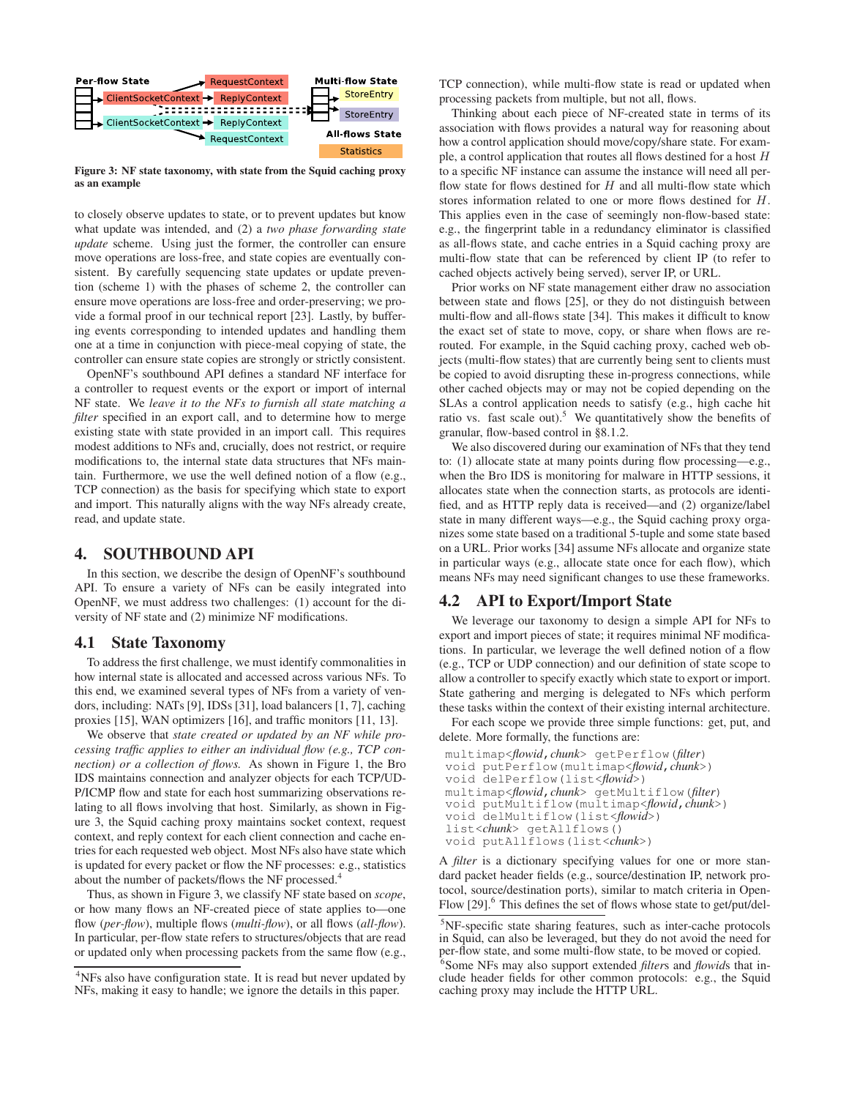

**Figure 3: NF state taxonomy, with state from the Squid caching proxy as an example**

to closely observe updates to state, or to prevent updates but know what update was intended, and (2) a *two phase forwarding state update* scheme. Using just the former, the controller can ensure move operations are loss-free, and state copies are eventually consistent. By carefully sequencing state updates or update prevention (scheme 1) with the phases of scheme 2, the controller can ensure move operations are loss-free and order-preserving; we provide a formal proof in our technical report [23]. Lastly, by buffering events corresponding to intended updates and handling them one at a time in conjunction with piece-meal copying of state, the controller can ensure state copies are strongly or strictly consistent.

OpenNF's southbound API defines a standard NF interface for a controller to request events or the export or import of internal NF state. We *leave it to the NFs to furnish all state matching a filter* specified in an export call, and to determine how to merge existing state with state provided in an import call. This requires modest additions to NFs and, crucially, does not restrict, or require modifications to, the internal state data structures that NFs maintain. Furthermore, we use the well defined notion of a flow (e.g., TCP connection) as the basis for specifying which state to export and import. This naturally aligns with the way NFs already create, read, and update state.

### **4. SOUTHBOUND API**

In this section, we describe the design of OpenNF's southbound API. To ensure a variety of NFs can be easily integrated into OpenNF, we must address two challenges: (1) account for the diversity of NF state and (2) minimize NF modifications.

### **4.1 State Taxonomy**

To address the first challenge, we must identify commonalities in how internal state is allocated and accessed across various NFs. To this end, we examined several types of NFs from a variety of vendors, including: NATs [9], IDSs [31], load balancers [1, 7], caching proxies [15], WAN optimizers [16], and traffic monitors [11, 13].

We observe that *state created or updated by an NF while processing traffic applies to either an individual flow (e.g., TCP connection) or a collection of flows.* As shown in Figure 1, the Bro IDS maintains connection and analyzer objects for each TCP/UD-P/ICMP flow and state for each host summarizing observations relating to all flows involving that host. Similarly, as shown in Figure 3, the Squid caching proxy maintains socket context, request context, and reply context for each client connection and cache entries for each requested web object. Most NFs also have state which is updated for every packet or flow the NF processes: e.g., statistics about the number of packets/flows the NF processed.<sup>4</sup>

Thus, as shown in Figure 3, we classify NF state based on *scope*, or how many flows an NF-created piece of state applies to—one flow (*per-flow*), multiple flows (*multi-flow*), or all flows (*all-flow*). In particular, per-flow state refers to structures/objects that are read or updated only when processing packets from the same flow (e.g.,

TCP connection), while multi-flow state is read or updated when processing packets from multiple, but not all, flows.

Thinking about each piece of NF-created state in terms of its association with flows provides a natural way for reasoning about how a control application should move/copy/share state. For example, a control application that routes all flows destined for a host H to a specific NF instance can assume the instance will need all perflow state for flows destined for  $H$  and all multi-flow state which stores information related to one or more flows destined for H. This applies even in the case of seemingly non-flow-based state: e.g., the fingerprint table in a redundancy eliminator is classified as all-flows state, and cache entries in a Squid caching proxy are multi-flow state that can be referenced by client IP (to refer to cached objects actively being served), server IP, or URL.

Prior works on NF state management either draw no association between state and flows [25], or they do not distinguish between multi-flow and all-flows state [34]. This makes it difficult to know the exact set of state to move, copy, or share when flows are rerouted. For example, in the Squid caching proxy, cached web objects (multi-flow states) that are currently being sent to clients must be copied to avoid disrupting these in-progress connections, while other cached objects may or may not be copied depending on the SLAs a control application needs to satisfy (e.g., high cache hit ratio vs. fast scale out).<sup>5</sup> We quantitatively show the benefits of granular, flow-based control in §8.1.2.

We also discovered during our examination of NFs that they tend to: (1) allocate state at many points during flow processing—e.g., when the Bro IDS is monitoring for malware in HTTP sessions, it allocates state when the connection starts, as protocols are identified, and as HTTP reply data is received—and (2) organize/label state in many different ways—e.g., the Squid caching proxy organizes some state based on a traditional 5-tuple and some state based on a URL. Prior works [34] assume NFs allocate and organize state in particular ways (e.g., allocate state once for each flow), which means NFs may need significant changes to use these frameworks.

### **4.2 API to Export/Import State**

We leverage our taxonomy to design a simple API for NFs to export and import pieces of state; it requires minimal NF modifications. In particular, we leverage the well defined notion of a flow (e.g., TCP or UDP connection) and our definition of state scope to allow a controller to specify exactly which state to export or import. State gathering and merging is delegated to NFs which perform these tasks within the context of their existing internal architecture.

For each scope we provide three simple functions: get, put, and delete. More formally, the functions are:

```
multimap<flowid,chunk> getPerflow(filter)
void putPerflow(multimap<flowid,chunk>)
void delPerflow(list<flowid>)
multimap<flowid,chunk> getMultiflow(filter)
void putMultiflow(multimap<flowid,chunk>)
void delMultiflow(list<flowid>)
list<chunk> getAllflows()
void putAllflows(list<chunk>)
```
A *filter* is a dictionary specifying values for one or more standard packet header fields (e.g., source/destination IP, network protocol, source/destination ports), similar to match criteria in Open-Flow [29].<sup>6</sup> This defines the set of flows whose state to get/put/del-

<sup>&</sup>lt;sup>4</sup>NFs also have configuration state. It is read but never updated by NFs, making it easy to handle; we ignore the details in this paper.

<sup>5</sup>NF-specific state sharing features, such as inter-cache protocols in Squid, can also be leveraged, but they do not avoid the need for per-flow state, and some multi-flow state, to be moved or copied.

<sup>6</sup> Some NFs may also support extended *filter*s and *flowid*s that include header fields for other common protocols: e.g., the Squid caching proxy may include the HTTP URL.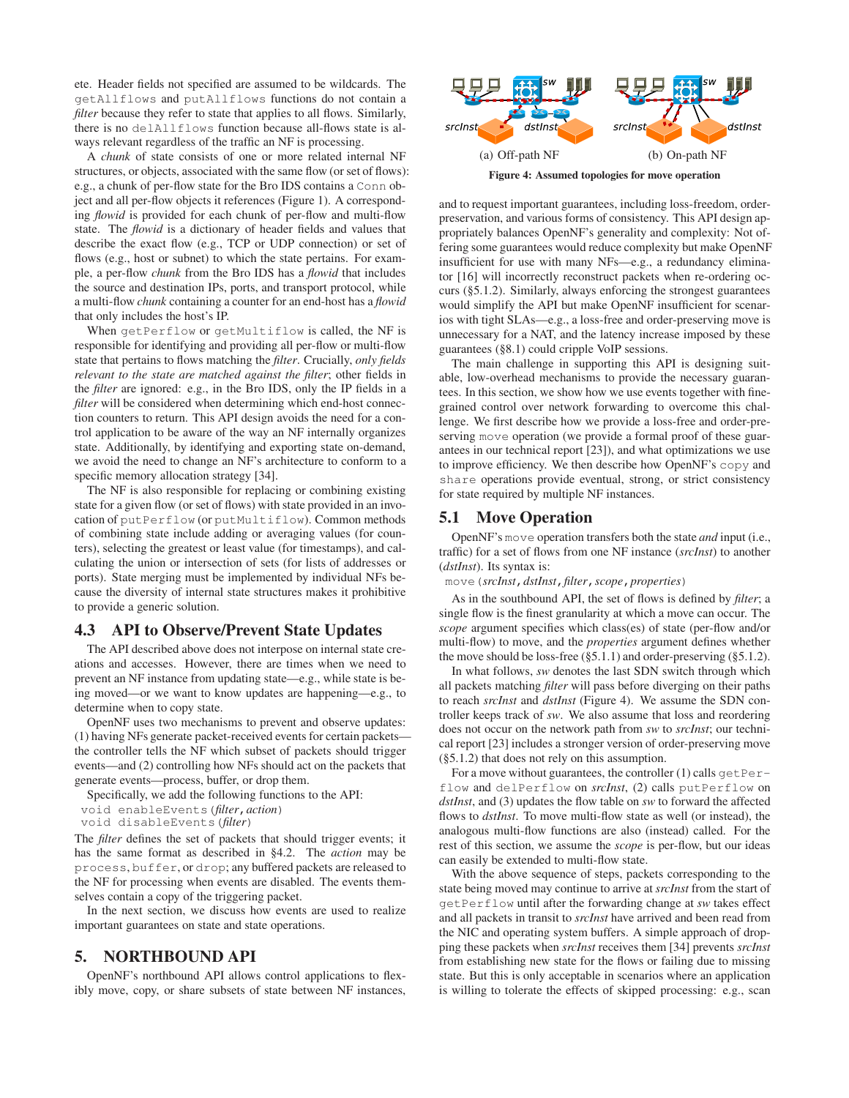ete. Header fields not specified are assumed to be wildcards. The getAllflows and putAllflows functions do not contain a *filter* because they refer to state that applies to all flows. Similarly, there is no delAllflows function because all-flows state is always relevant regardless of the traffic an NF is processing.

A *chunk* of state consists of one or more related internal NF structures, or objects, associated with the same flow (or set of flows): e.g., a chunk of per-flow state for the Bro IDS contains a Conn object and all per-flow objects it references (Figure 1). A corresponding *flowid* is provided for each chunk of per-flow and multi-flow state. The *flowid* is a dictionary of header fields and values that describe the exact flow (e.g., TCP or UDP connection) or set of flows (e.g., host or subnet) to which the state pertains. For example, a per-flow *chunk* from the Bro IDS has a *flowid* that includes the source and destination IPs, ports, and transport protocol, while a multi-flow *chunk* containing a counter for an end-host has a *flowid* that only includes the host's IP.

When getPerflow or getMultiflow is called, the NF is responsible for identifying and providing all per-flow or multi-flow state that pertains to flows matching the *filter*. Crucially, *only fields relevant to the state are matched against the filter*; other fields in the *filter* are ignored: e.g., in the Bro IDS, only the IP fields in a *filter* will be considered when determining which end-host connection counters to return. This API design avoids the need for a control application to be aware of the way an NF internally organizes state. Additionally, by identifying and exporting state on-demand, we avoid the need to change an NF's architecture to conform to a specific memory allocation strategy [34].

The NF is also responsible for replacing or combining existing state for a given flow (or set of flows) with state provided in an invocation of putPerflow (or putMultiflow). Common methods of combining state include adding or averaging values (for counters), selecting the greatest or least value (for timestamps), and calculating the union or intersection of sets (for lists of addresses or ports). State merging must be implemented by individual NFs because the diversity of internal state structures makes it prohibitive to provide a generic solution.

# **4.3 API to Observe/Prevent State Updates**

The API described above does not interpose on internal state creations and accesses. However, there are times when we need to prevent an NF instance from updating state—e.g., while state is being moved—or we want to know updates are happening—e.g., to determine when to copy state.

OpenNF uses two mechanisms to prevent and observe updates: (1) having NFs generate packet-received events for certain packets the controller tells the NF which subset of packets should trigger events—and (2) controlling how NFs should act on the packets that generate events—process, buffer, or drop them.

Specifically, we add the following functions to the API:

- void enableEvents(*filter*,*action*)
- void disableEvents(*filter*)

The *filter* defines the set of packets that should trigger events; it has the same format as described in §4.2. The *action* may be process, buffer, or drop; any buffered packets are released to the NF for processing when events are disabled. The events themselves contain a copy of the triggering packet.

In the next section, we discuss how events are used to realize important guarantees on state and state operations.

# **5. NORTHBOUND API**

OpenNF's northbound API allows control applications to flexibly move, copy, or share subsets of state between NF instances,



and to request important guarantees, including loss-freedom, orderpreservation, and various forms of consistency. This API design appropriately balances OpenNF's generality and complexity: Not offering some guarantees would reduce complexity but make OpenNF insufficient for use with many NFs—e.g., a redundancy eliminator [16] will incorrectly reconstruct packets when re-ordering occurs (§5.1.2). Similarly, always enforcing the strongest guarantees would simplify the API but make OpenNF insufficient for scenarios with tight SLAs—e.g., a loss-free and order-preserving move is unnecessary for a NAT, and the latency increase imposed by these guarantees (§8.1) could cripple VoIP sessions.

The main challenge in supporting this API is designing suitable, low-overhead mechanisms to provide the necessary guarantees. In this section, we show how we use events together with finegrained control over network forwarding to overcome this challenge. We first describe how we provide a loss-free and order-preserving move operation (we provide a formal proof of these guarantees in our technical report [23]), and what optimizations we use to improve efficiency. We then describe how OpenNF's copy and share operations provide eventual, strong, or strict consistency for state required by multiple NF instances.

# **5.1 Move Operation**

OpenNF's move operation transfers both the state *and* input (i.e., traffic) for a set of flows from one NF instance (*srcInst*) to another (*dstInst*). Its syntax is:

move(*srcInst*,*dstInst*,*filter*,*scope*,*properties*)

As in the southbound API, the set of flows is defined by *filter*; a single flow is the finest granularity at which a move can occur. The *scope* argument specifies which class(es) of state (per-flow and/or multi-flow) to move, and the *properties* argument defines whether the move should be loss-free (§5.1.1) and order-preserving (§5.1.2).

In what follows, *sw* denotes the last SDN switch through which all packets matching *filter* will pass before diverging on their paths to reach *srcInst* and *dstInst* (Figure 4). We assume the SDN controller keeps track of *sw*. We also assume that loss and reordering does not occur on the network path from *sw* to *srcInst*; our technical report [23] includes a stronger version of order-preserving move (§5.1.2) that does not rely on this assumption.

For a move without guarantees, the controller (1) calls  $q$ etPerflow and delPerflow on *srcInst*, (2) calls putPerflow on *dstInst*, and (3) updates the flow table on *sw* to forward the affected flows to *dstInst*. To move multi-flow state as well (or instead), the analogous multi-flow functions are also (instead) called. For the rest of this section, we assume the *scope* is per-flow, but our ideas can easily be extended to multi-flow state.

With the above sequence of steps, packets corresponding to the state being moved may continue to arrive at *srcInst* from the start of getPerflow until after the forwarding change at *sw* takes effect and all packets in transit to *srcInst* have arrived and been read from the NIC and operating system buffers. A simple approach of dropping these packets when *srcInst* receives them [34] prevents *srcInst* from establishing new state for the flows or failing due to missing state. But this is only acceptable in scenarios where an application is willing to tolerate the effects of skipped processing: e.g., scan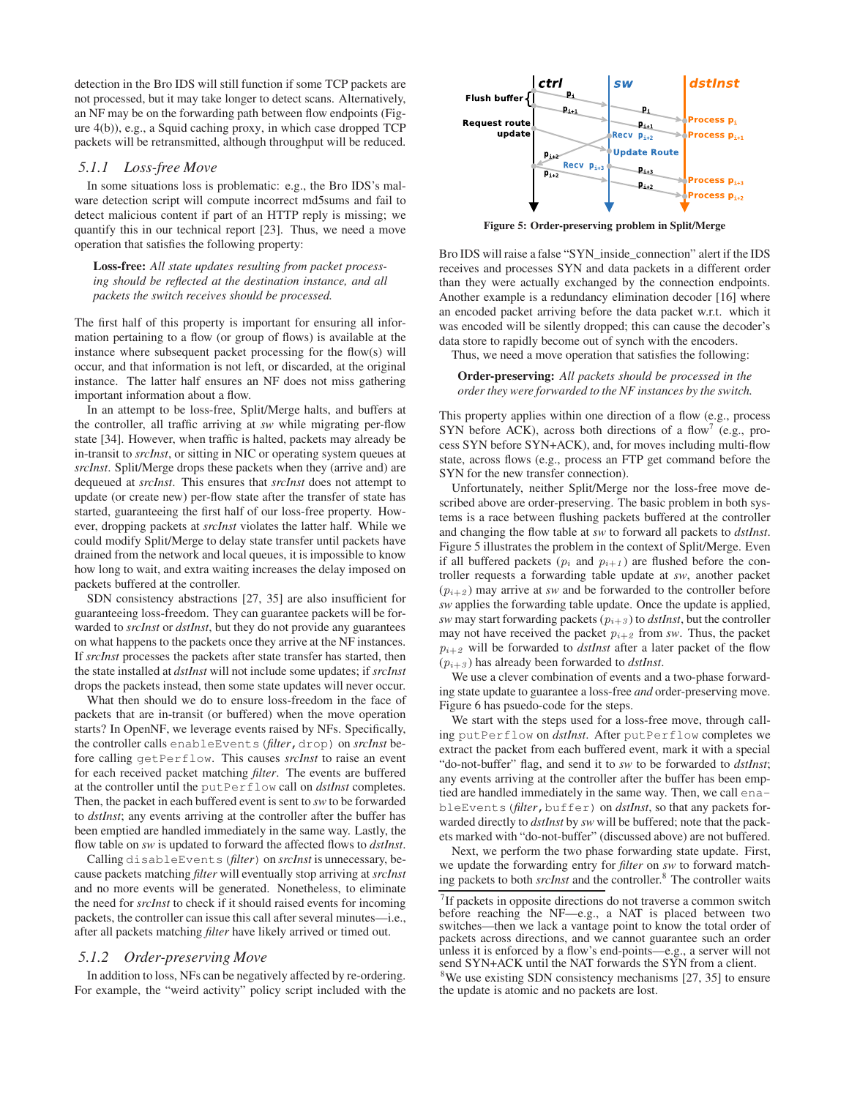detection in the Bro IDS will still function if some TCP packets are not processed, but it may take longer to detect scans. Alternatively, an NF may be on the forwarding path between flow endpoints (Figure 4(b)), e.g., a Squid caching proxy, in which case dropped TCP packets will be retransmitted, although throughput will be reduced.

### *5.1.1 Loss-free Move*

In some situations loss is problematic: e.g., the Bro IDS's malware detection script will compute incorrect md5sums and fail to detect malicious content if part of an HTTP reply is missing; we quantify this in our technical report [23]. Thus, we need a move operation that satisfies the following property:

**Loss-free:** *All state updates resulting from packet processing should be reflected at the destination instance, and all packets the switch receives should be processed.*

The first half of this property is important for ensuring all information pertaining to a flow (or group of flows) is available at the instance where subsequent packet processing for the flow(s) will occur, and that information is not left, or discarded, at the original instance. The latter half ensures an NF does not miss gathering important information about a flow.

In an attempt to be loss-free, Split/Merge halts, and buffers at the controller, all traffic arriving at *sw* while migrating per-flow state [34]. However, when traffic is halted, packets may already be in-transit to *srcInst*, or sitting in NIC or operating system queues at *srcInst*. Split/Merge drops these packets when they (arrive and) are dequeued at *srcInst*. This ensures that *srcInst* does not attempt to update (or create new) per-flow state after the transfer of state has started, guaranteeing the first half of our loss-free property. However, dropping packets at *srcInst* violates the latter half. While we could modify Split/Merge to delay state transfer until packets have drained from the network and local queues, it is impossible to know how long to wait, and extra waiting increases the delay imposed on packets buffered at the controller.

SDN consistency abstractions [27, 35] are also insufficient for guaranteeing loss-freedom. They can guarantee packets will be forwarded to *srcInst* or *dstInst*, but they do not provide any guarantees on what happens to the packets once they arrive at the NF instances. If *srcInst* processes the packets after state transfer has started, then the state installed at *dstInst* will not include some updates; if *srcInst* drops the packets instead, then some state updates will never occur.

What then should we do to ensure loss-freedom in the face of packets that are in-transit (or buffered) when the move operation starts? In OpenNF, we leverage events raised by NFs. Specifically, the controller calls enableEvents (*filter*, drop) on *srcInst* before calling getPerflow. This causes *srcInst* to raise an event for each received packet matching *filter*. The events are buffered at the controller until the putPerflow call on *dstInst* completes. Then, the packet in each buffered event is sent to *sw* to be forwarded to *dstInst*; any events arriving at the controller after the buffer has been emptied are handled immediately in the same way. Lastly, the flow table on *sw* is updated to forward the affected flows to *dstInst*.

Calling disableEvents(*filter*) on *srcInst* is unnecessary, because packets matching *filter* will eventually stop arriving at *srcInst* and no more events will be generated. Nonetheless, to eliminate the need for *srcInst* to check if it should raised events for incoming packets, the controller can issue this call after several minutes—i.e., after all packets matching *filter* have likely arrived or timed out.

#### *5.1.2 Order-preserving Move*

In addition to loss, NFs can be negatively affected by re-ordering. For example, the "weird activity" policy script included with the



**Figure 5: Order-preserving problem in Split/Merge**

Bro IDS will raise a false "SYN\_inside\_connection" alert if the IDS receives and processes SYN and data packets in a different order than they were actually exchanged by the connection endpoints. Another example is a redundancy elimination decoder [16] where an encoded packet arriving before the data packet w.r.t. which it was encoded will be silently dropped; this can cause the decoder's data store to rapidly become out of synch with the encoders.

Thus, we need a move operation that satisfies the following:

#### **Order-preserving:** *All packets should be processed in the order they were forwarded to the NF instances by the switch.*

This property applies within one direction of a flow (e.g., process SYN before ACK), across both directions of a flow<sup>7</sup> (e.g., process SYN before SYN+ACK), and, for moves including multi-flow state, across flows (e.g., process an FTP get command before the SYN for the new transfer connection).

Unfortunately, neither Split/Merge nor the loss-free move described above are order-preserving. The basic problem in both systems is a race between flushing packets buffered at the controller and changing the flow table at *sw* to forward all packets to *dstInst*. Figure 5 illustrates the problem in the context of Split/Merge. Even if all buffered packets  $(p_i \text{ and } p_{i+1})$  are flushed before the controller requests a forwarding table update at *sw*, another packet  $(p_{i+2})$  may arrive at *sw* and be forwarded to the controller before *sw* applies the forwarding table update. Once the update is applied, *sw* may start forwarding packets  $(p_{i+3})$  to *dstInst*, but the controller may not have received the packet  $p_{i+2}$  from *sw*. Thus, the packet  $p_{i+2}$  will be forwarded to *dstInst* after a later packet of the flow  $(p_{i+3})$  has already been forwarded to *dstInst*.

We use a clever combination of events and a two-phase forwarding state update to guarantee a loss-free *and* order-preserving move. Figure 6 has psuedo-code for the steps.

We start with the steps used for a loss-free move, through calling putPerflow on *dstInst*. After putPerflow completes we extract the packet from each buffered event, mark it with a special "do-not-buffer" flag, and send it to *sw* to be forwarded to *dstInst*; any events arriving at the controller after the buffer has been emptied are handled immediately in the same way. Then, we call enableEvents(*filter*,buffer) on *dstInst*, so that any packets forwarded directly to *dstInst* by *sw* will be buffered; note that the packets marked with "do-not-buffer" (discussed above) are not buffered.

Next, we perform the two phase forwarding state update. First, we update the forwarding entry for *filter* on *sw* to forward matching packets to both *srcInst* and the controller.<sup>8</sup> The controller waits

 $7$ If packets in opposite directions do not traverse a common switch before reaching the NF—e.g., a NAT is placed between two switches—then we lack a vantage point to know the total order of packets across directions, and we cannot guarantee such an order unless it is enforced by a flow's end-points—e.g., a server will not send SYN+ACK until the NAT forwards the SYN from a client.

 $8$ We use existing SDN consistency mechanisms [27, 35] to ensure the update is atomic and no packets are lost.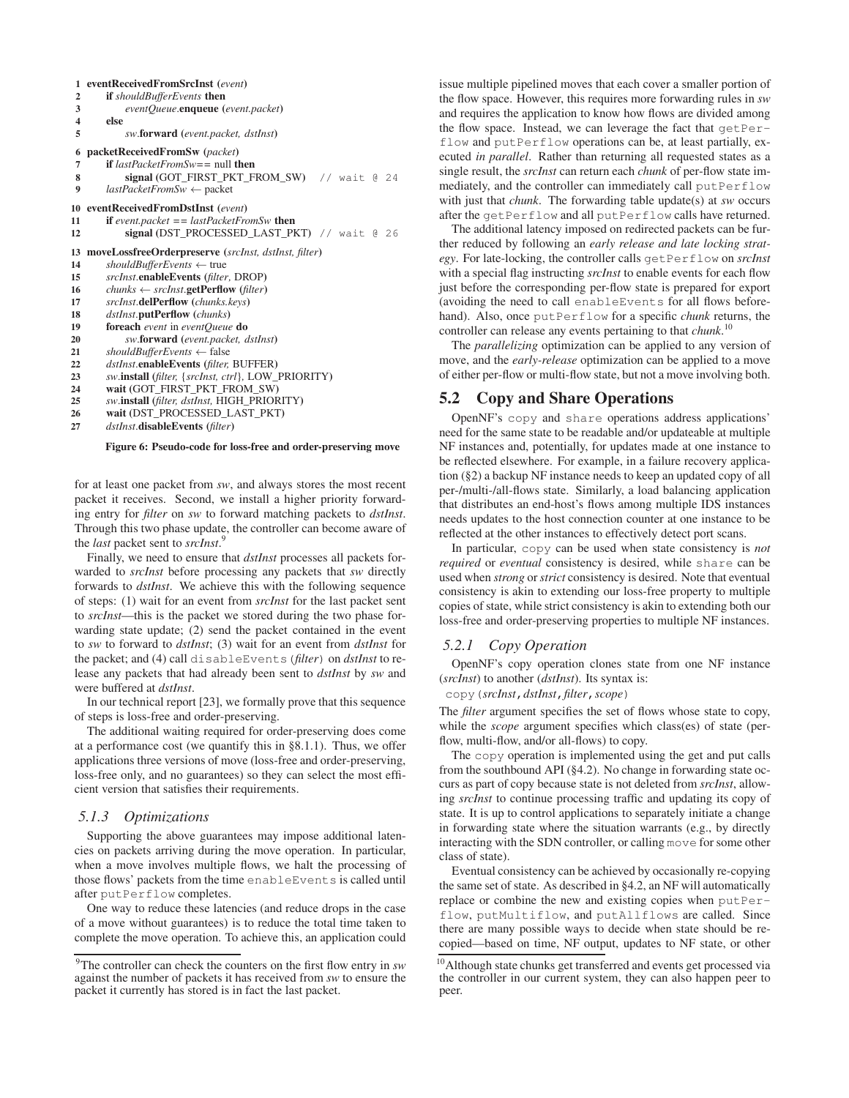

**Figure 6: Pseudo-code for loss-free and order-preserving move**

for at least one packet from *sw*, and always stores the most recent packet it receives. Second, we install a higher priority forwarding entry for *filter* on *sw* to forward matching packets to *dstInst*. Through this two phase update, the controller can become aware of the *last* packet sent to *srcInst*. 9

Finally, we need to ensure that *dstInst* processes all packets forwarded to *srcInst* before processing any packets that *sw* directly forwards to *dstInst*. We achieve this with the following sequence of steps: (1) wait for an event from *srcInst* for the last packet sent to *srcInst*—this is the packet we stored during the two phase forwarding state update; (2) send the packet contained in the event to *sw* to forward to *dstInst*; (3) wait for an event from *dstInst* for the packet; and (4) call disableEvents(*filter*) on *dstInst* to release any packets that had already been sent to *dstInst* by *sw* and were buffered at *dstInst*.

In our technical report [23], we formally prove that this sequence of steps is loss-free and order-preserving.

The additional waiting required for order-preserving does come at a performance cost (we quantify this in §8.1.1). Thus, we offer applications three versions of move (loss-free and order-preserving, loss-free only, and no guarantees) so they can select the most efficient version that satisfies their requirements.

### *5.1.3 Optimizations*

Supporting the above guarantees may impose additional latencies on packets arriving during the move operation. In particular, when a move involves multiple flows, we halt the processing of those flows' packets from the time enableEvents is called until after putPerflow completes.

One way to reduce these latencies (and reduce drops in the case of a move without guarantees) is to reduce the total time taken to complete the move operation. To achieve this, an application could issue multiple pipelined moves that each cover a smaller portion of the flow space. However, this requires more forwarding rules in *sw* and requires the application to know how flows are divided among the flow space. Instead, we can leverage the fact that  $q$ etPerflow and putPerflow operations can be, at least partially, executed *in parallel*. Rather than returning all requested states as a single result, the *srcInst* can return each *chunk* of per-flow state immediately, and the controller can immediately call putPerflow with just that *chunk*. The forwarding table update(s) at *sw* occurs after the getPerflow and all putPerflow calls have returned.

The additional latency imposed on redirected packets can be further reduced by following an *early release and late locking strategy*. For late-locking, the controller calls getPerflow on *srcInst* with a special flag instructing *srcInst* to enable events for each flow just before the corresponding per-flow state is prepared for export (avoiding the need to call enableEvents for all flows beforehand). Also, once putPerflow for a specific *chunk* returns, the controller can release any events pertaining to that *chunk*. 10

The *parallelizing* optimization can be applied to any version of move, and the *early-release* optimization can be applied to a move of either per-flow or multi-flow state, but not a move involving both.

### **5.2 Copy and Share Operations**

OpenNF's copy and share operations address applications' need for the same state to be readable and/or updateable at multiple NF instances and, potentially, for updates made at one instance to be reflected elsewhere. For example, in a failure recovery application (§2) a backup NF instance needs to keep an updated copy of all per-/multi-/all-flows state. Similarly, a load balancing application that distributes an end-host's flows among multiple IDS instances needs updates to the host connection counter at one instance to be reflected at the other instances to effectively detect port scans.

In particular, copy can be used when state consistency is *not required* or *eventual* consistency is desired, while share can be used when *strong* or*strict* consistency is desired. Note that eventual consistency is akin to extending our loss-free property to multiple copies of state, while strict consistency is akin to extending both our loss-free and order-preserving properties to multiple NF instances.

### *5.2.1 Copy Operation*

OpenNF's copy operation clones state from one NF instance (*srcInst*) to another (*dstInst*). Its syntax is:

copy(*srcInst*,*dstInst*,*filter*,*scope*)

The *filter* argument specifies the set of flows whose state to copy, while the *scope* argument specifies which class(es) of state (perflow, multi-flow, and/or all-flows) to copy.

The copy operation is implemented using the get and put calls from the southbound API (§4.2). No change in forwarding state occurs as part of copy because state is not deleted from *srcInst*, allowing *srcInst* to continue processing traffic and updating its copy of state. It is up to control applications to separately initiate a change in forwarding state where the situation warrants (e.g., by directly interacting with the SDN controller, or calling move for some other class of state).

Eventual consistency can be achieved by occasionally re-copying the same set of state. As described in §4.2, an NF will automatically replace or combine the new and existing copies when putPerflow, putMultiflow, and putAllflows are called. Since there are many possible ways to decide when state should be recopied—based on time, NF output, updates to NF state, or other

<sup>9</sup>The controller can check the counters on the first flow entry in *sw* against the number of packets it has received from *sw* to ensure the packet it currently has stored is in fact the last packet.

<sup>&</sup>lt;sup>10</sup>Although state chunks get transferred and events get processed via the controller in our current system, they can also happen peer to peer.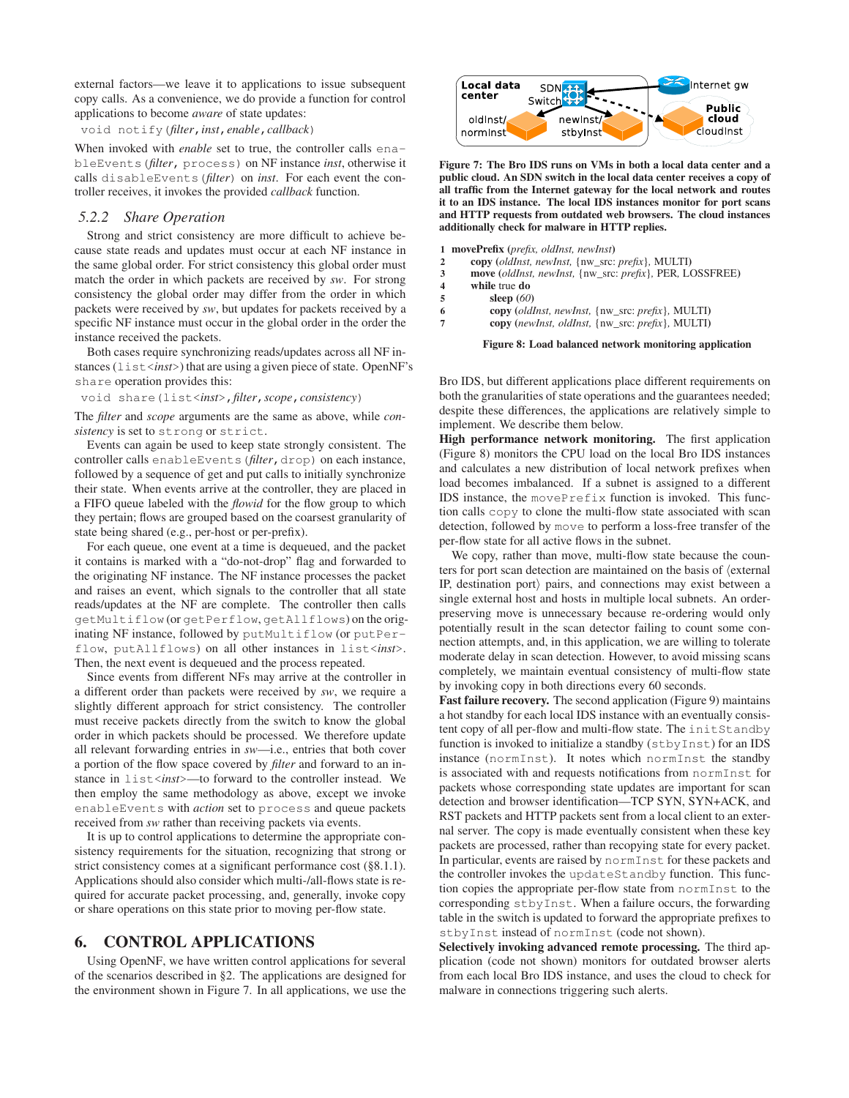external factors—we leave it to applications to issue subsequent copy calls. As a convenience, we do provide a function for control applications to become *aware* of state updates:

#### void notify(*filter*,*inst*,*enable*,*callback*)

When invoked with *enable* set to true, the controller calls enableEvents(*filter*, process) on NF instance *inst*, otherwise it calls disableEvents(*filter*) on *inst*. For each event the controller receives, it invokes the provided *callback* function.

#### *5.2.2 Share Operation*

Strong and strict consistency are more difficult to achieve because state reads and updates must occur at each NF instance in the same global order. For strict consistency this global order must match the order in which packets are received by *sw*. For strong consistency the global order may differ from the order in which packets were received by *sw*, but updates for packets received by a specific NF instance must occur in the global order in the order the instance received the packets.

Both cases require synchronizing reads/updates across all NF instances (list <*inst>*) that are using a given piece of state. OpenNF's share operation provides this:

### void share(list<*inst*>,*filter*,*scope*,*consistency*)

The *filter* and *scope* arguments are the same as above, while *consistency* is set to strong or strict.

Events can again be used to keep state strongly consistent. The controller calls enableEvents (*filter*, drop) on each instance, followed by a sequence of get and put calls to initially synchronize their state. When events arrive at the controller, they are placed in a FIFO queue labeled with the *flowid* for the flow group to which they pertain; flows are grouped based on the coarsest granularity of state being shared (e.g., per-host or per-prefix).

For each queue, one event at a time is dequeued, and the packet it contains is marked with a "do-not-drop" flag and forwarded to the originating NF instance. The NF instance processes the packet and raises an event, which signals to the controller that all state reads/updates at the NF are complete. The controller then calls getMultiflow (or getPerflow, getAllflows) on the originating NF instance, followed by putMultiflow (or putPerflow, putAllflows) on all other instances in list<*inst*>. Then, the next event is dequeued and the process repeated.

Since events from different NFs may arrive at the controller in a different order than packets were received by *sw*, we require a slightly different approach for strict consistency. The controller must receive packets directly from the switch to know the global order in which packets should be processed. We therefore update all relevant forwarding entries in *sw*—i.e., entries that both cover a portion of the flow space covered by *filter* and forward to an instance in list<*inst*>—to forward to the controller instead. We then employ the same methodology as above, except we invoke enableEvents with *action* set to process and queue packets received from *sw* rather than receiving packets via events.

It is up to control applications to determine the appropriate consistency requirements for the situation, recognizing that strong or strict consistency comes at a significant performance cost (§8.1.1). Applications should also consider which multi-/all-flows state is required for accurate packet processing, and, generally, invoke copy or share operations on this state prior to moving per-flow state.

## **6. CONTROL APPLICATIONS**

Using OpenNF, we have written control applications for several of the scenarios described in §2. The applications are designed for the environment shown in Figure 7. In all applications, we use the



**Figure 7: The Bro IDS runs on VMs in both a local data center and a public cloud. An SDN switch in the local data center receives a copy of all traffic from the Internet gateway for the local network and routes it to an IDS instance. The local IDS instances monitor for port scans and HTTP requests from outdated web browsers. The cloud instances additionally check for malware in HTTP replies.**

**1 movePrefix (***prefix, oldInst, newInst***)**

- **2 copy (***oldInst, newInst,* {nw\_src: *prefix*}*,* MULTI**)**
- **3 move (***oldInst, newInst,* {nw\_src: *prefix*}*,* PER*,* LOSSFREE**)**
- **4 while** true **do**
- **5 sleep (***60***)**
- **6 copy (***oldInst, newInst,* {nw\_src: *prefix*}*,* MULTI**)**
- **7 copy (***newInst, oldInst,* {nw\_src: *prefix*}*,* MULTI**)**

#### **Figure 8: Load balanced network monitoring application**

Bro IDS, but different applications place different requirements on both the granularities of state operations and the guarantees needed; despite these differences, the applications are relatively simple to implement. We describe them below.

**High performance network monitoring.** The first application (Figure 8) monitors the CPU load on the local Bro IDS instances and calculates a new distribution of local network prefixes when load becomes imbalanced. If a subnet is assigned to a different IDS instance, the movePrefix function is invoked. This function calls copy to clone the multi-flow state associated with scan detection, followed by move to perform a loss-free transfer of the per-flow state for all active flows in the subnet.

We copy, rather than move, multi-flow state because the counters for port scan detection are maintained on the basis of (external IP, destination port $\rangle$  pairs, and connections may exist between a single external host and hosts in multiple local subnets. An orderpreserving move is unnecessary because re-ordering would only potentially result in the scan detector failing to count some connection attempts, and, in this application, we are willing to tolerate moderate delay in scan detection. However, to avoid missing scans completely, we maintain eventual consistency of multi-flow state by invoking copy in both directions every 60 seconds.

**Fast failure recovery.** The second application (Figure 9) maintains a hot standby for each local IDS instance with an eventually consistent copy of all per-flow and multi-flow state. The initStandby function is invoked to initialize a standby (stbyInst) for an IDS instance (normInst). It notes which normInst the standby is associated with and requests notifications from normInst for packets whose corresponding state updates are important for scan detection and browser identification—TCP SYN, SYN+ACK, and RST packets and HTTP packets sent from a local client to an external server. The copy is made eventually consistent when these key packets are processed, rather than recopying state for every packet. In particular, events are raised by normInst for these packets and the controller invokes the updateStandby function. This function copies the appropriate per-flow state from normInst to the corresponding stbyInst. When a failure occurs, the forwarding table in the switch is updated to forward the appropriate prefixes to stbyInst instead of normInst (code not shown).

**Selectively invoking advanced remote processing.** The third application (code not shown) monitors for outdated browser alerts from each local Bro IDS instance, and uses the cloud to check for malware in connections triggering such alerts.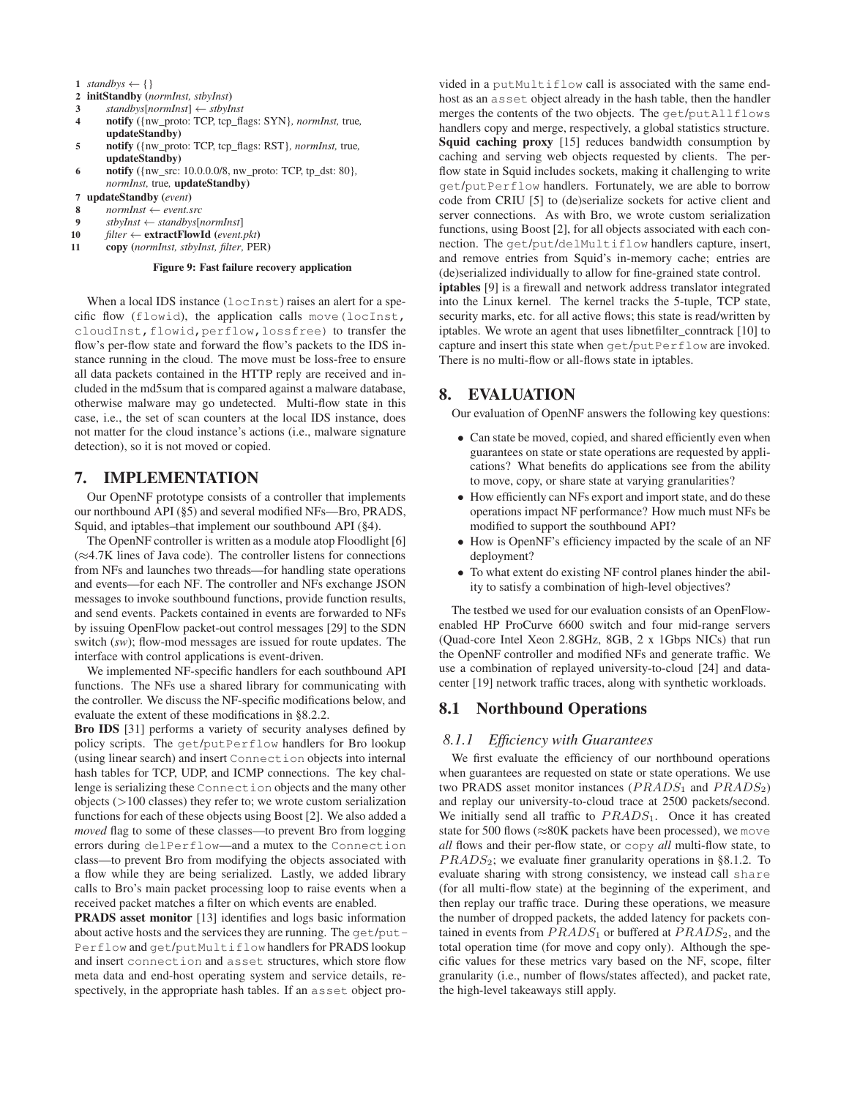- 1 *standbys*  $\leftarrow \{\}$
- **2 initStandby (***normInst, stbyInst***)**
- **3** *standbys*[*normInst*] ← *stbyInst*
- **4 notify (**{nw\_proto: TCP, tcp\_flags: SYN}*, normInst,* true*,* **updateStandby)**
- **5 notify (**{nw\_proto: TCP, tcp\_flags: RST}*, normInst,* true*,* **updateStandby)**
- **6 notify (**{nw\_src: 10.0.0.0/8, nw\_proto: TCP, tp\_dst: 80}*, normInst,* true*,* **updateStandby)**
- **7 updateStandby (***event***)**
- **8** *normInst* ← *event.src*
- **9** *stbyInst* ← *standbys*[*normInst*]
- $filter \leftarrow$  **extractFlowId** (*event.pkt*)
- **11 copy (***normInst, stbyInst, filter,* PER**)**

### **Figure 9: Fast failure recovery application**

When a local IDS instance (locInst) raises an alert for a specific flow (flowid), the application calls move(locInst, cloudInst, flowid, perflow, lossfree) to transfer the flow's per-flow state and forward the flow's packets to the IDS instance running in the cloud. The move must be loss-free to ensure all data packets contained in the HTTP reply are received and included in the md5sum that is compared against a malware database, otherwise malware may go undetected. Multi-flow state in this case, i.e., the set of scan counters at the local IDS instance, does not matter for the cloud instance's actions (i.e., malware signature detection), so it is not moved or copied.

# **7. IMPLEMENTATION**

Our OpenNF prototype consists of a controller that implements our northbound API (§5) and several modified NFs—Bro, PRADS, Squid, and iptables–that implement our southbound API (§4).

The OpenNF controller is written as a module atop Floodlight [6] (≈4.7K lines of Java code). The controller listens for connections from NFs and launches two threads—for handling state operations and events—for each NF. The controller and NFs exchange JSON messages to invoke southbound functions, provide function results, and send events. Packets contained in events are forwarded to NFs by issuing OpenFlow packet-out control messages [29] to the SDN switch (*sw*); flow-mod messages are issued for route updates. The interface with control applications is event-driven.

We implemented NF-specific handlers for each southbound API functions. The NFs use a shared library for communicating with the controller. We discuss the NF-specific modifications below, and evaluate the extent of these modifications in §8.2.2.

**Bro IDS** [31] performs a variety of security analyses defined by policy scripts. The get/putPerflow handlers for Bro lookup (using linear search) and insert Connection objects into internal hash tables for TCP, UDP, and ICMP connections. The key challenge is serializing these Connection objects and the many other objects  $(>100$  classes) they refer to; we wrote custom serialization functions for each of these objects using Boost [2]. We also added a *moved* flag to some of these classes—to prevent Bro from logging errors during delPerflow—and a mutex to the Connection class—to prevent Bro from modifying the objects associated with a flow while they are being serialized. Lastly, we added library calls to Bro's main packet processing loop to raise events when a received packet matches a filter on which events are enabled.

**PRADS asset monitor** [13] identifies and logs basic information about active hosts and the services they are running. The get/put-Perflow and get/putMultiflow handlers for PRADS lookup and insert connection and asset structures, which store flow meta data and end-host operating system and service details, respectively, in the appropriate hash tables. If an asset object pro-

vided in a putMultiflow call is associated with the same endhost as an asset object already in the hash table, then the handler merges the contents of the two objects. The get/putAllflows handlers copy and merge, respectively, a global statistics structure. **Squid caching proxy** [15] reduces bandwidth consumption by caching and serving web objects requested by clients. The perflow state in Squid includes sockets, making it challenging to write get/putPerflow handlers. Fortunately, we are able to borrow code from CRIU [5] to (de)serialize sockets for active client and server connections. As with Bro, we wrote custom serialization functions, using Boost [2], for all objects associated with each connection. The get/put/delMultiflow handlers capture, insert, and remove entries from Squid's in-memory cache; entries are (de)serialized individually to allow for fine-grained state control. **iptables** [9] is a firewall and network address translator integrated into the Linux kernel. The kernel tracks the 5-tuple, TCP state,

security marks, etc. for all active flows; this state is read/written by iptables. We wrote an agent that uses libnetfilter\_conntrack [10] to capture and insert this state when get/putPerflow are invoked. There is no multi-flow or all-flows state in iptables.

## **8. EVALUATION**

Our evaluation of OpenNF answers the following key questions:

- Can state be moved, copied, and shared efficiently even when guarantees on state or state operations are requested by applications? What benefits do applications see from the ability to move, copy, or share state at varying granularities?
- How efficiently can NFs export and import state, and do these operations impact NF performance? How much must NFs be modified to support the southbound API?
- How is OpenNF's efficiency impacted by the scale of an NF deployment?
- To what extent do existing NF control planes hinder the ability to satisfy a combination of high-level objectives?

The testbed we used for our evaluation consists of an OpenFlowenabled HP ProCurve 6600 switch and four mid-range servers (Quad-core Intel Xeon 2.8GHz, 8GB, 2 x 1Gbps NICs) that run the OpenNF controller and modified NFs and generate traffic. We use a combination of replayed university-to-cloud [24] and datacenter [19] network traffic traces, along with synthetic workloads.

# **8.1 Northbound Operations**

# *8.1.1 Efficiency with Guarantees*

We first evaluate the efficiency of our northbound operations when guarantees are requested on state or state operations. We use two PRADS asset monitor instances ( $PRADS_1$  and  $PRADS_2$ ) and replay our university-to-cloud trace at 2500 packets/second. We initially send all traffic to  $PRADS<sub>1</sub>$ . Once it has created state for 500 flows ( $\approx 80K$  packets have been processed), we move *all* flows and their per-flow state, or copy *all* multi-flow state, to  $PRADS<sub>2</sub>$ ; we evaluate finer granularity operations in §8.1.2. To evaluate sharing with strong consistency, we instead call share (for all multi-flow state) at the beginning of the experiment, and then replay our traffic trace. During these operations, we measure the number of dropped packets, the added latency for packets contained in events from  $PRADS_1$  or buffered at  $PRADS_2$ , and the total operation time (for move and copy only). Although the specific values for these metrics vary based on the NF, scope, filter granularity (i.e., number of flows/states affected), and packet rate, the high-level takeaways still apply.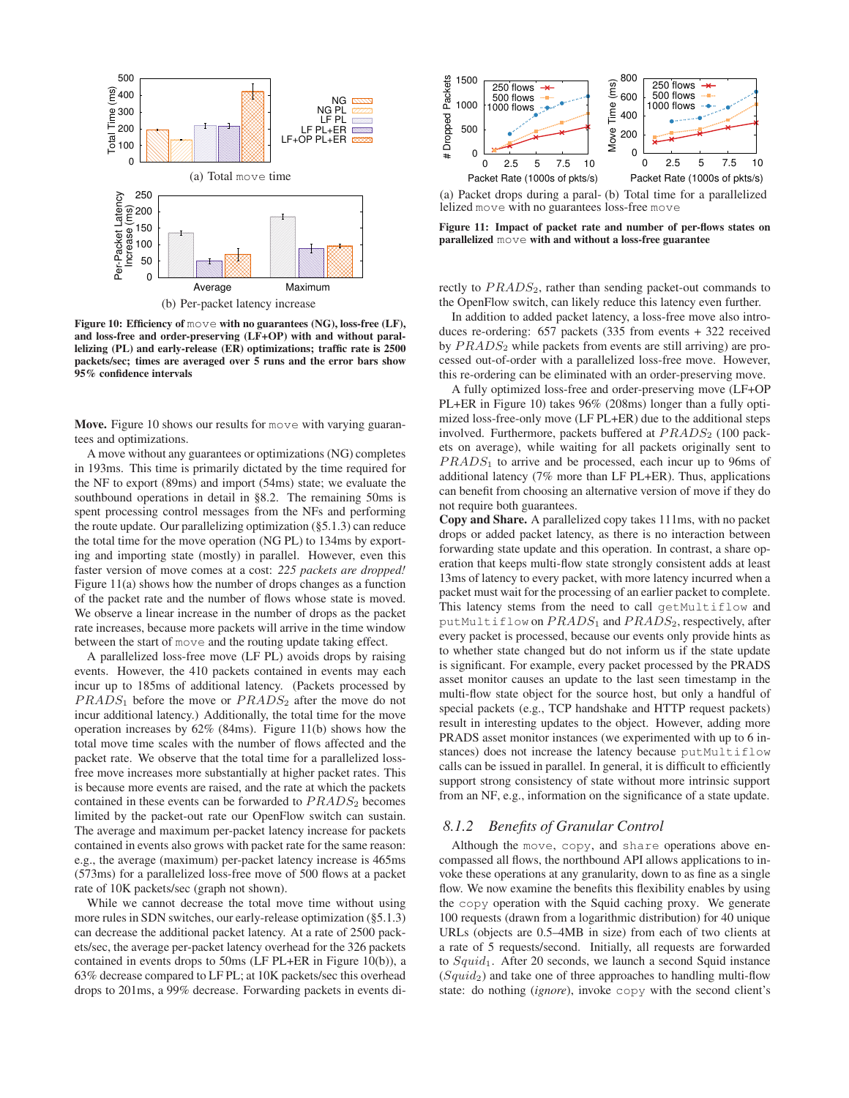

**Figure 10: Efficiency of** move **with no guarantees (NG), loss-free (LF), and loss-free and order-preserving (LF+OP) with and without parallelizing (PL) and early-release (ER) optimizations; traffic rate is 2500 packets/sec; times are averaged over 5 runs and the error bars show 95% confidence intervals**

**Move.** Figure 10 shows our results for move with varying guarantees and optimizations.

A move without any guarantees or optimizations (NG) completes in 193ms. This time is primarily dictated by the time required for the NF to export (89ms) and import (54ms) state; we evaluate the southbound operations in detail in §8.2. The remaining 50ms is spent processing control messages from the NFs and performing the route update. Our parallelizing optimization (§5.1.3) can reduce the total time for the move operation (NG PL) to 134ms by exporting and importing state (mostly) in parallel. However, even this faster version of move comes at a cost: *225 packets are dropped!* Figure 11(a) shows how the number of drops changes as a function of the packet rate and the number of flows whose state is moved. We observe a linear increase in the number of drops as the packet rate increases, because more packets will arrive in the time window between the start of move and the routing update taking effect.

A parallelized loss-free move (LF PL) avoids drops by raising events. However, the 410 packets contained in events may each incur up to 185ms of additional latency. (Packets processed by  $PRADS<sub>1</sub>$  before the move or  $PRADS<sub>2</sub>$  after the move do not incur additional latency.) Additionally, the total time for the move operation increases by 62% (84ms). Figure 11(b) shows how the total move time scales with the number of flows affected and the packet rate. We observe that the total time for a parallelized lossfree move increases more substantially at higher packet rates. This is because more events are raised, and the rate at which the packets contained in these events can be forwarded to  $PRADS<sub>2</sub>$  becomes limited by the packet-out rate our OpenFlow switch can sustain. The average and maximum per-packet latency increase for packets contained in events also grows with packet rate for the same reason: e.g., the average (maximum) per-packet latency increase is 465ms (573ms) for a parallelized loss-free move of 500 flows at a packet rate of 10K packets/sec (graph not shown).

While we cannot decrease the total move time without using more rules in SDN switches, our early-release optimization (§5.1.3) can decrease the additional packet latency. At a rate of 2500 packets/sec, the average per-packet latency overhead for the 326 packets contained in events drops to 50ms (LF PL+ER in Figure 10(b)), a 63% decrease compared to LF PL; at 10K packets/sec this overhead drops to 201ms, a 99% decrease. Forwarding packets in events di-



(a) Packet drops during a paral-(b) Total time for a parallelized lelized move with no guarantees loss-free move

**Figure 11: Impact of packet rate and number of per-flows states on parallelized** move **with and without a loss-free guarantee**

rectly to  $PRADS<sub>2</sub>$ , rather than sending packet-out commands to the OpenFlow switch, can likely reduce this latency even further.

In addition to added packet latency, a loss-free move also introduces re-ordering: 657 packets (335 from events + 322 received by  $PRADS<sub>2</sub>$  while packets from events are still arriving) are processed out-of-order with a parallelized loss-free move. However, this re-ordering can be eliminated with an order-preserving move.

A fully optimized loss-free and order-preserving move (LF+OP PL+ER in Figure 10) takes 96% (208ms) longer than a fully optimized loss-free-only move (LF PL+ER) due to the additional steps involved. Furthermore, packets buffered at  $PRADS_2$  (100 packets on average), while waiting for all packets originally sent to  $PRADS<sub>1</sub>$  to arrive and be processed, each incur up to 96ms of additional latency (7% more than LF PL+ER). Thus, applications can benefit from choosing an alternative version of move if they do not require both guarantees.

**Copy and Share.** A parallelized copy takes 111ms, with no packet drops or added packet latency, as there is no interaction between forwarding state update and this operation. In contrast, a share operation that keeps multi-flow state strongly consistent adds at least 13ms of latency to every packet, with more latency incurred when a packet must wait for the processing of an earlier packet to complete. This latency stems from the need to call getMultiflow and put Multiflow on  $PRADS<sub>1</sub>$  and  $PRADS<sub>2</sub>$ , respectively, after every packet is processed, because our events only provide hints as to whether state changed but do not inform us if the state update is significant. For example, every packet processed by the PRADS asset monitor causes an update to the last seen timestamp in the multi-flow state object for the source host, but only a handful of special packets (e.g., TCP handshake and HTTP request packets) result in interesting updates to the object. However, adding more PRADS asset monitor instances (we experimented with up to 6 instances) does not increase the latency because putMultiflow calls can be issued in parallel. In general, it is difficult to efficiently support strong consistency of state without more intrinsic support from an NF, e.g., information on the significance of a state update.

### *8.1.2 Benefits of Granular Control*

Although the move, copy, and share operations above encompassed all flows, the northbound API allows applications to invoke these operations at any granularity, down to as fine as a single flow. We now examine the benefits this flexibility enables by using the copy operation with the Squid caching proxy. We generate 100 requests (drawn from a logarithmic distribution) for 40 unique URLs (objects are 0.5–4MB in size) from each of two clients at a rate of 5 requests/second. Initially, all requests are forwarded to  $Squid_1$ . After 20 seconds, we launch a second Squid instance  $(Squid<sub>2</sub>)$  and take one of three approaches to handling multi-flow state: do nothing (*ignore*), invoke copy with the second client's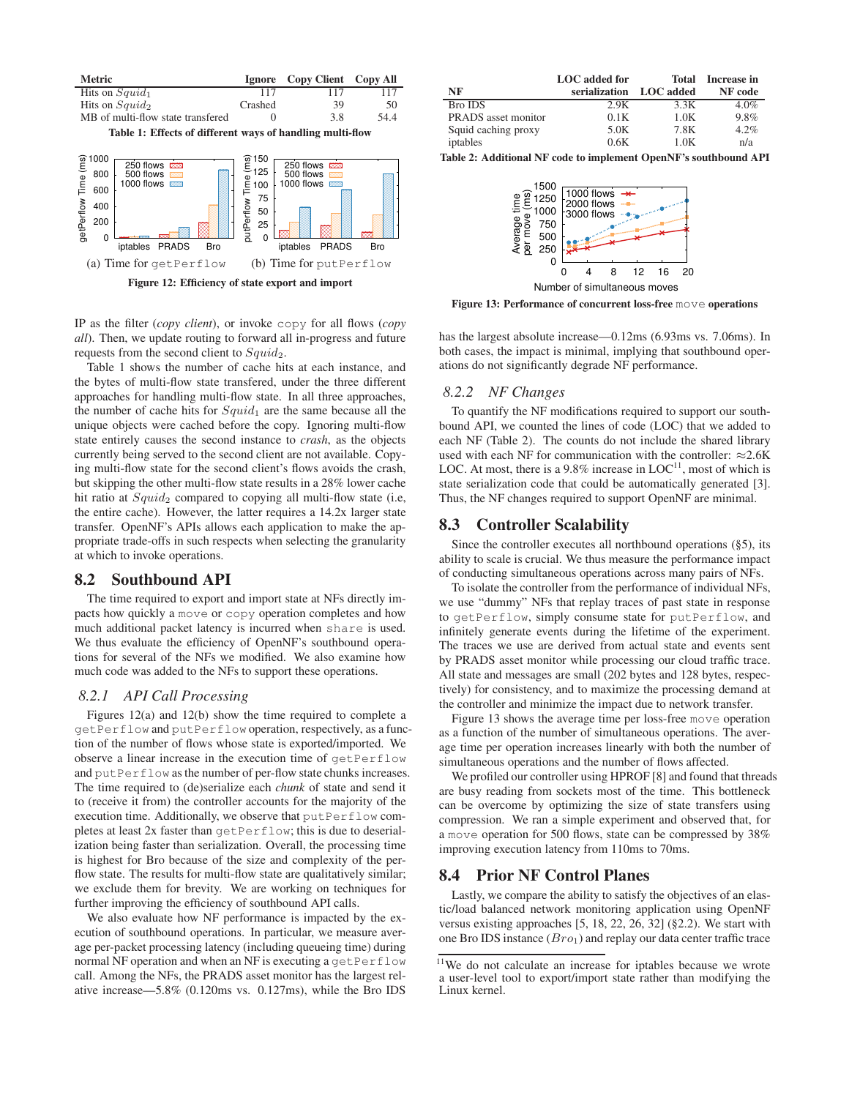



**Figure 12: Efficiency of state export and import**

IP as the filter (*copy client*), or invoke copy for all flows (*copy all*). Then, we update routing to forward all in-progress and future requests from the second client to  $Squid_2$ .

Table 1 shows the number of cache hits at each instance, and the bytes of multi-flow state transfered, under the three different approaches for handling multi-flow state. In all three approaches, the number of cache hits for  $Squid_1$  are the same because all the unique objects were cached before the copy. Ignoring multi-flow state entirely causes the second instance to *crash*, as the objects currently being served to the second client are not available. Copying multi-flow state for the second client's flows avoids the crash, but skipping the other multi-flow state results in a 28% lower cache hit ratio at  $Squid_2$  compared to copying all multi-flow state (i.e, the entire cache). However, the latter requires a 14.2x larger state transfer. OpenNF's APIs allows each application to make the appropriate trade-offs in such respects when selecting the granularity at which to invoke operations.

# **8.2 Southbound API**

The time required to export and import state at NFs directly impacts how quickly a move or copy operation completes and how much additional packet latency is incurred when share is used. We thus evaluate the efficiency of OpenNF's southbound operations for several of the NFs we modified. We also examine how much code was added to the NFs to support these operations.

### *8.2.1 API Call Processing*

Figures 12(a) and 12(b) show the time required to complete a getPerflow and putPerflow operation, respectively, as a function of the number of flows whose state is exported/imported. We observe a linear increase in the execution time of getPerflow and putPerflow as the number of per-flow state chunks increases. The time required to (de)serialize each *chunk* of state and send it to (receive it from) the controller accounts for the majority of the execution time. Additionally, we observe that putPerflow completes at least 2x faster than getPerflow; this is due to deserialization being faster than serialization. Overall, the processing time is highest for Bro because of the size and complexity of the perflow state. The results for multi-flow state are qualitatively similar; we exclude them for brevity. We are working on techniques for further improving the efficiency of southbound API calls.

We also evaluate how NF performance is impacted by the execution of southbound operations. In particular, we measure average per-packet processing latency (including queueing time) during normal NF operation and when an NF is executing a getPerflow call. Among the NFs, the PRADS asset monitor has the largest relative increase—5.8% (0.120ms vs. 0.127ms), while the Bro IDS

|                     | <b>LOC</b> added for | Total            | Increase in |
|---------------------|----------------------|------------------|-------------|
| NF                  | serialization        | <b>LOC</b> added | NF code     |
| Bro IDS             | 2.9K                 | 3.3K             | $4.0\%$     |
| PRADS asset monitor | 0.1K                 | 1.0K             | 9.8%        |
| Squid caching proxy | 5.0K                 | 7.8K             | 4.2%        |
| iptables            | 0.6K                 | 1.0K             | n/a         |

**Table 2: Additional NF code to implement OpenNF's southbound API**



**Figure 13: Performance of concurrent loss-free** move **operations**

has the largest absolute increase—0.12ms (6.93ms vs. 7.06ms). In both cases, the impact is minimal, implying that southbound operations do not significantly degrade NF performance.

# *8.2.2 NF Changes*

To quantify the NF modifications required to support our southbound API, we counted the lines of code (LOC) that we added to each NF (Table 2). The counts do not include the shared library used with each NF for communication with the controller:  $\approx 2.6$ K LOC. At most, there is a 9.8% increase in  $LOC^{11}$ , most of which is state serialization code that could be automatically generated [3]. Thus, the NF changes required to support OpenNF are minimal.

### **8.3 Controller Scalability**

Since the controller executes all northbound operations (§5), its ability to scale is crucial. We thus measure the performance impact of conducting simultaneous operations across many pairs of NFs.

To isolate the controller from the performance of individual NFs, we use "dummy" NFs that replay traces of past state in response to getPerflow, simply consume state for putPerflow, and infinitely generate events during the lifetime of the experiment. The traces we use are derived from actual state and events sent by PRADS asset monitor while processing our cloud traffic trace. All state and messages are small (202 bytes and 128 bytes, respectively) for consistency, and to maximize the processing demand at the controller and minimize the impact due to network transfer.

Figure 13 shows the average time per loss-free move operation as a function of the number of simultaneous operations. The average time per operation increases linearly with both the number of simultaneous operations and the number of flows affected.

We profiled our controller using HPROF [8] and found that threads are busy reading from sockets most of the time. This bottleneck can be overcome by optimizing the size of state transfers using compression. We ran a simple experiment and observed that, for a move operation for 500 flows, state can be compressed by 38% improving execution latency from 110ms to 70ms.

## **8.4 Prior NF Control Planes**

Lastly, we compare the ability to satisfy the objectives of an elastic/load balanced network monitoring application using OpenNF versus existing approaches [5, 18, 22, 26, 32] (§2.2). We start with one Bro IDS instance  $(Bro<sub>1</sub>)$  and replay our data center traffic trace

<sup>&</sup>lt;sup>11</sup>We do not calculate an increase for iptables because we wrote a user-level tool to export/import state rather than modifying the Linux kernel.